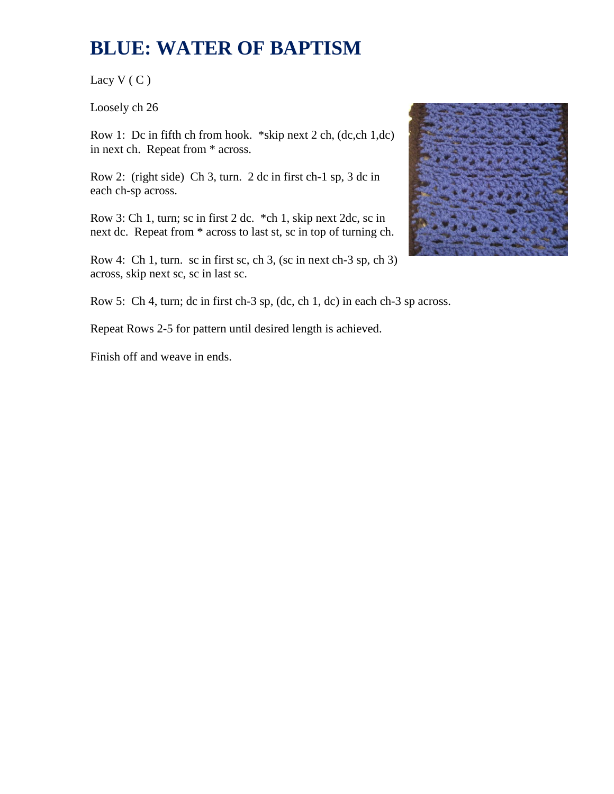## **BLUE: WATER OF BAPTISM**

Lacy  $V(C)$ 

Loosely ch 26

Row 1: Dc in fifth ch from hook. \*skip next 2 ch, (dc, ch 1,dc) in next ch. Repeat from \* across.

Row 2: (right side) Ch 3, turn. 2 dc in first ch-1 sp, 3 dc in each ch-sp across.

Row 3: Ch 1, turn; sc in first 2 dc. \*ch 1, skip next 2dc, sc in next dc. Repeat from \* across to last st, sc in top of turning ch.

Row 4: Ch 1, turn. sc in first sc, ch 3, (sc in next ch-3 sp, ch 3) across, skip next sc, sc in last sc.



Row 5: Ch 4, turn; dc in first ch-3 sp, (dc, ch 1, dc) in each ch-3 sp across.

Repeat Rows 2-5 for pattern until desired length is achieved.

Finish off and weave in ends.